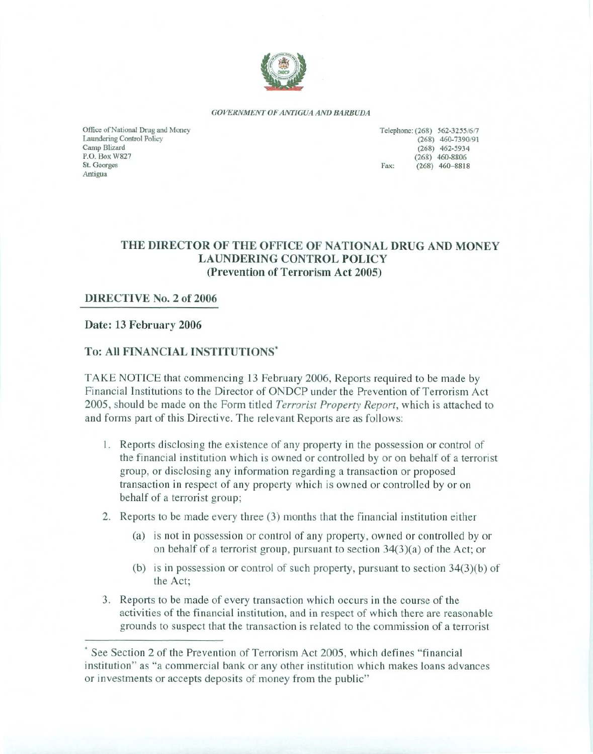

GOVERNMENT OF ANTIGUA AND BARBUDA

Office of National Drug and Money Laundering Control Policy Camp Blizard P.O. Box W827 St. Georges Antigua

Telephone: (268) 562-3255/6/7 (268) 460-7390/91  $(268)$  462-5934  $(268)$  460-8806 Fax:  $(268)$  460-8818

# THE DIRECTOR OF THE OFFICE OF NATIONAL DRUG AND MONEY **LAUNDERING CONTROL POLICY** (Prevention of Terrorism Act 2005)

#### DIRECTIVE No. 2 of 2006

#### Date: 13 February 2006

#### To: All FINANCIAL INSTITUTIONS'

TAKE NOTICE that commencing 13 February 2006, Reports required to be made by Financial Institutions to the Director of ONDCP under the Prevention of Terrorism Act 2005, should be made on the Form titled *Terrorist Property Report*, which is attached to and forms part of this Directive. The relevant Reports are as follows:

- 1. Reports disclosing the existence of any property in the possession or control of the financial institution which is owned or controlled by or on behalf of a terrorist group, or disclosing any information regarding a transaction or proposed transaction in respect of any property which is owned or controlled by or on behalf of a terrorist group;
- 2. Reports to be made every three (3) months that the financial institution either
	- (a) is not in possession or control of any property, owned or controlled by or on behalf of a terrorist group, pursuant to section  $34(3)(a)$  of the Act; or
	- (b) is in possession or control of such property, pursuant to section  $34(3)(b)$  of the Act;
- 3. Reports to be made of every transaction which occurs in the course of the activities of the financial institution, and in respect of which there are reasonable grounds to suspect that the transaction is related to the commission of a terrorist

See Section 2 of the Prevention of Terrorism Act 2005, which defines "financial" institution" as "a commercial bank or any other institution which makes loans advances or investments or accepts deposits of money from the public"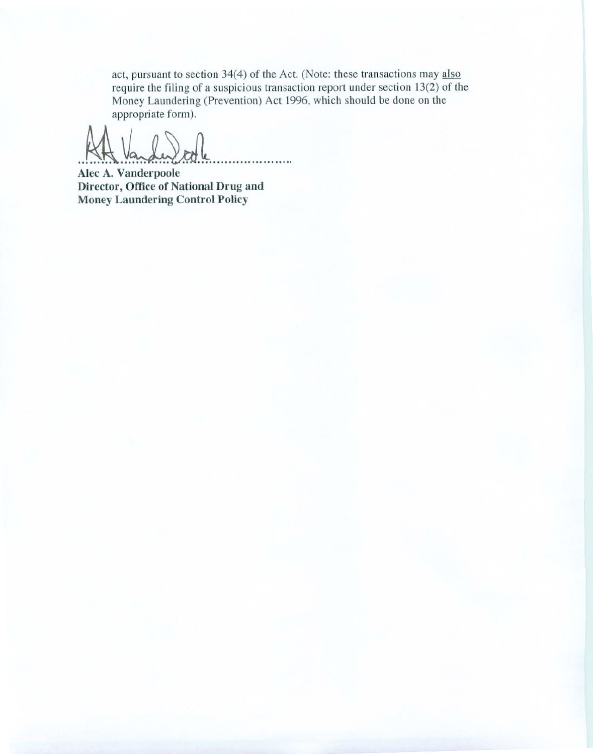act, pursuant to section 34(4) of the Act. (Note: these transactions may also require the filing of a suspicious transaction report under section  $13(2)$  of the Money Laundering (Prevention) Act 1996, which should be done on the appropriate form).

. . . . . .

Alec A. Vanderpoole Director, Office of National Drug and Money Laundering Control Policy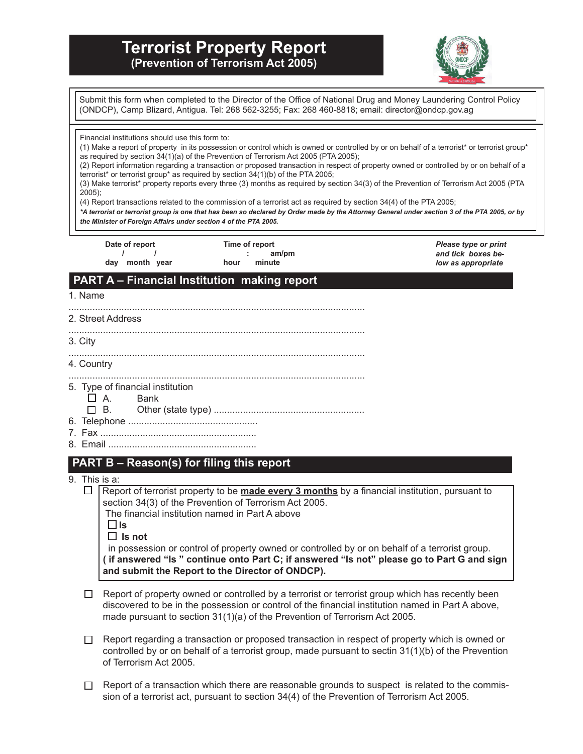# **Terrorist Property Report (Prevention of Terrorism Act 2005)**



**PART A – Financial Institution making report** 1. Name ................................................................................................................ 2. Street Address ................................................................................................................ 3. City ................................................................................................................ 4. Country ................................................................................................................ 5. Type of financial institution A. Bank B. Other (state type) ......................................................... 6. Telephone ................................................. 7. Fax ........................................................... 8. Email ........................................................ **PART B – Reason(s) for filing this report** 9. This is a: Submit this form when completed to the Director of the Office of National Drug and Money Laundering Control Policy (ONDCP), Camp Blizard, Antigua. Tel: 268 562-3255; Fax: 268 460-8818; email: director@ondcp.gov.ag Financial institutions should use this form to: (1) Make a report of property in its possession or control which is owned or controlled by or on behalf of a terrorist\* or terrorist group\* as required by section 34(1)(a) of the Prevention of Terrorism Act 2005 (PTA 2005); (2) Report information regarding a transaction or proposed transaction in respect of property owned or controlled by or on behalf of a terrorist\* or terrorist group\* as required by section 34(1)(b) of the PTA 2005; (3) Make terrorist\* property reports every three (3) months as required by section 34(3) of the Prevention of Terrorism Act 2005 (PTA 2005); (4) Report transactions related to the commission of a terrorist act as required by section 34(4) of the PTA 2005; *\*A terrorist or terrorist group is one that has been so declared by Order made by the Attorney General under section 3 of the PTA 2005, or by the Minister of Foreign Affairs under section 4 of the PTA 2005. Please type or print and tick boxes below as appropriate* **Date of report / / day month year Time of report : am/pm hour minute** 

 $\Box$  Report of terrorist property to be **made every 3 months** by a financial institution, pursuant to section 34(3) of the Prevention of Terrorism Act 2005.

 The financial institution named in Part A above **Is**

**Is not**

 in possession or control of property owned or controlled by or on behalf of a terrorist group. **( if answered "Is " continue onto Part C; if answered "Is not" please go to Part G and sign and submit the Report to the Director of ONDCP).**

- $\Box$  Report of property owned or controlled by a terrorist or terrorist group which has recently been discovered to be in the possession or control of the financial institution named in Part A above, made pursuant to section 31(1)(a) of the Prevention of Terrorism Act 2005.
- $\Box$  Report regarding a transaction or proposed transaction in respect of property which is owned or controlled by or on behalf of a terrorist group, made pursuant to sectin 31(1)(b) of the Prevention of Terrorism Act 2005.
- $\Box$  Report of a transaction which there are reasonable grounds to suspect is related to the commission of a terrorist act, pursuant to section 34(4) of the Prevention of Terrorism Act 2005.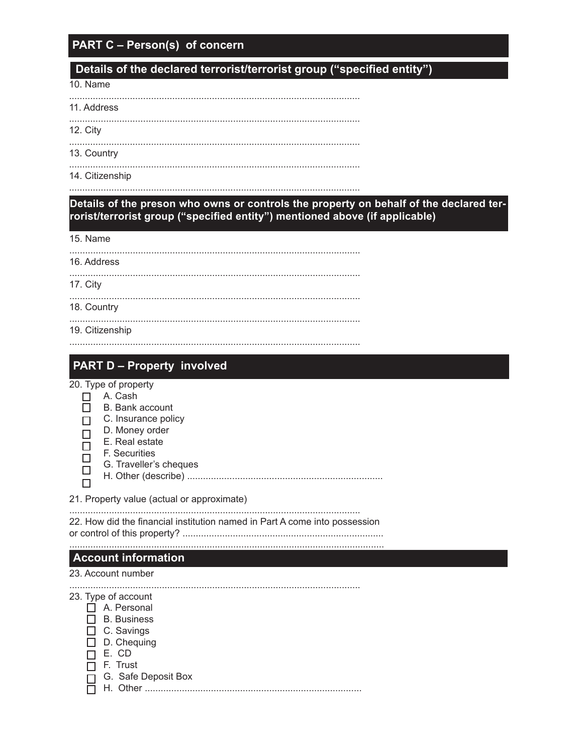# **PART C - Person(s) of concern**

# Details of the declared terrorist/terrorist group ("specified entity")

10. Name

11. Address

12. City

13. Country 

14. Citizenship

Details of the preson who owns or controls the property on behalf of the declared terrorist/terrorist group ("specified entity") mentioned above (if applicable)

15. Name

| 16. Address |  |
|-------------|--|
|-------------|--|

17. City

 $\Box$ 

18. Country

19. Citizenship

# **PART D - Property involved**

20. Type of property

- $\Box$  A. Cash
- $\Box$ B. Bank account
- $\Box$  C. Insurance policy
- D. Money order  $\Box$
- E. Real estate  $\Box$ 
	- F. Securities
- $\Box$ G. Traveller's cheques  $\Box$ 
	-

21. Property value (actual or approximate)

22. How did the financial institution named in Part A come into possession 

### **Account information**

#### 23. Account number

## 23. Type of account

- A. Personal
- $\Box$  B. Business
- $\Box$  C. Savings
- $\Box$  D. Chequing
- $\Box$  E. CD
- $\Box$  F. Trust
- □ G. Safe Deposit Box

 $\Box$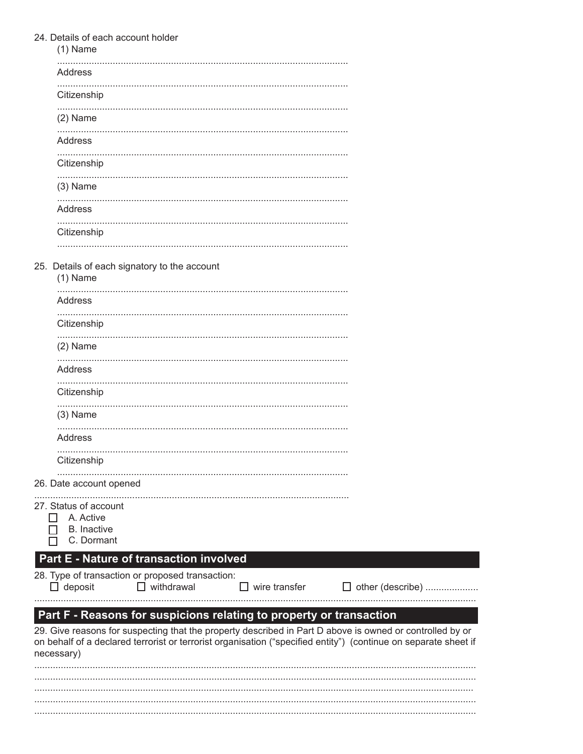|                | 24. Details of each account holder<br>$(1)$ Name                                                                                                                                                                            |
|----------------|-----------------------------------------------------------------------------------------------------------------------------------------------------------------------------------------------------------------------------|
|                | Address                                                                                                                                                                                                                     |
|                | Citizenship                                                                                                                                                                                                                 |
|                | $(2)$ Name                                                                                                                                                                                                                  |
|                | Address                                                                                                                                                                                                                     |
|                | Citizenship                                                                                                                                                                                                                 |
|                | $(3)$ Name                                                                                                                                                                                                                  |
|                | Address                                                                                                                                                                                                                     |
|                | Citizenship                                                                                                                                                                                                                 |
|                | 25. Details of each signatory to the account                                                                                                                                                                                |
|                | $(1)$ Name                                                                                                                                                                                                                  |
|                | <b>Address</b>                                                                                                                                                                                                              |
|                | Citizenship                                                                                                                                                                                                                 |
|                | $(2)$ Name                                                                                                                                                                                                                  |
|                | Address                                                                                                                                                                                                                     |
|                | Citizenship                                                                                                                                                                                                                 |
|                | $(3)$ Name                                                                                                                                                                                                                  |
|                | <b>Address</b>                                                                                                                                                                                                              |
|                | Citizenship                                                                                                                                                                                                                 |
|                | 26. Date account opened                                                                                                                                                                                                     |
| $\blacksquare$ | 27. Status of account<br>A. Active                                                                                                                                                                                          |
|                | <b>B.</b> Inactive<br>C. Dormant                                                                                                                                                                                            |
|                | Part E - Nature of transaction involved                                                                                                                                                                                     |
|                | 28. Type of transaction or proposed transaction:<br>$\Box$ deposit<br>$\Box$ withdrawal<br>wire transfer<br>$\perp$                                                                                                         |
|                | Part F - Reasons for suspicions relating to property or transaction                                                                                                                                                         |
| necessary)     | 29. Give reasons for suspecting that the property described in Part D above is owned or controlled by or<br>on behalf of a declared terrorist or terrorist organisation ("specified entity") (continue on separate sheet if |
|                |                                                                                                                                                                                                                             |
|                |                                                                                                                                                                                                                             |
|                |                                                                                                                                                                                                                             |